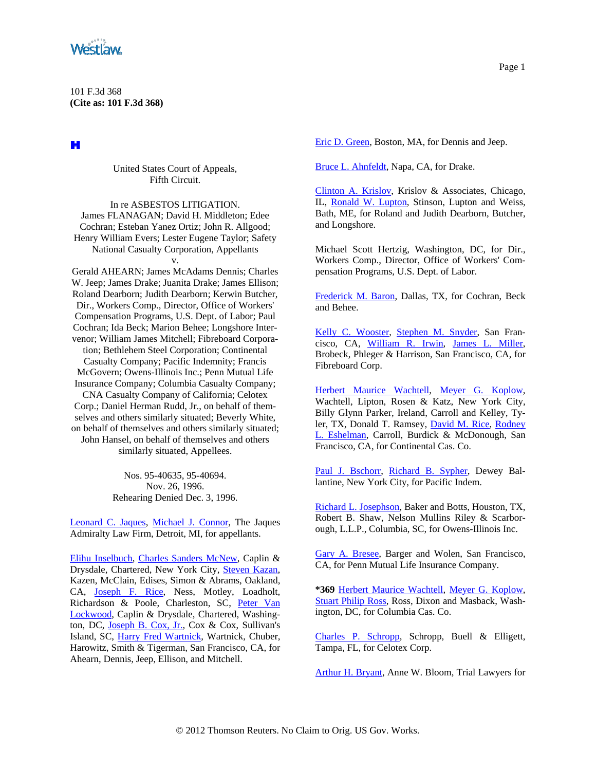

101 F.3d 368 **(Cite as: 101 F.3d 368)**

H

United States Court of Appeals, Fifth Circuit.

In re ASBESTOS LITIGATION. James FLANAGAN; David H. Middleton; Edee Cochran; Esteban Yanez Ortiz; John R. Allgood; Henry William Evers; Lester Eugene Taylor; Safety National Casualty Corporation, Appellants v.

Gerald AHEARN; James McAdams Dennis; Charles W. Jeep; James Drake; Juanita Drake; James Ellison; Roland Dearborn; Judith Dearborn; Kerwin Butcher, Dir., Workers Comp., Director, Office of Workers' Compensation Programs, U.S. Dept. of Labor; Paul Cochran; Ida Beck; Marion Behee; Longshore Intervenor; William James Mitchell; Fibreboard Corporation; Bethlehem Steel Corporation; Continental Casualty Company; Pacific Indemnity; Francis McGovern; Owens-Illinois Inc.; Penn Mutual Life Insurance Company; Columbia Casualty Company; CNA Casualty Company of California; Celotex Corp.; Daniel Herman Rudd, Jr., on behalf of themselves and others similarly situated; Beverly White, on behalf of themselves and others similarly situated; John Hansel, on behalf of themselves and others similarly situated, Appellees.

> Nos. 95-40635, 95-40694. Nov. 26, 1996. Rehearing Denied Dec. 3, 1996.

[Leonard C. Jaques,](http://www.westlaw.com/Find/Default.wl?rs=dfa1.0&vr=2.0&DB=PROFILER-WLD&DocName=0237526801&FindType=h) [Michael J. Connor,](http://www.westlaw.com/Find/Default.wl?rs=dfa1.0&vr=2.0&DB=PROFILER-WLD&DocName=0237636801&FindType=h) The Jaques Admiralty Law Firm, Detroit, MI, for appellants.

[Elihu Inselbuch](http://www.westlaw.com/Find/Default.wl?rs=dfa1.0&vr=2.0&DB=PROFILER-WLD&DocName=0108486501&FindType=h), [Charles Sanders McNew,](http://www.westlaw.com/Find/Default.wl?rs=dfa1.0&vr=2.0&DocName=0176956201&FindType=h) Caplin & Drysdale, Chartered, New York City, [Steven Kazan](http://www.westlaw.com/Find/Default.wl?rs=dfa1.0&vr=2.0&DB=PROFILER-WLD&DocName=0171226201&FindType=h), Kazen, McClain, Edises, Simon & Abrams, Oakland, CA, **Joseph F. Rice**, Ness, Motley, Loadholt, Richardson & Poole, Charleston, SC, [Peter Van](http://www.westlaw.com/Find/Default.wl?rs=dfa1.0&vr=2.0&DB=PROFILER-WLD&DocName=0258268301&FindType=h)  [Lockwood,](http://www.westlaw.com/Find/Default.wl?rs=dfa1.0&vr=2.0&DB=PROFILER-WLD&DocName=0258268301&FindType=h) Caplin & Drysdale, Chartered, Washington, DC, [Joseph B. Cox, Jr.,](http://www.westlaw.com/Find/Default.wl?rs=dfa1.0&vr=2.0&DB=PROFILER-WLD&DocName=0183288201&FindType=h) Cox & Cox, Sullivan's Island, SC, [Harry Fred Wartnick,](http://www.westlaw.com/Find/Default.wl?rs=dfa1.0&vr=2.0&DB=PROFILER-WLD&DocName=0159697601&FindType=h) Wartnick, Chuber, Harowitz, Smith & Tigerman, San Francisco, CA, for Ahearn, Dennis, Jeep, Ellison, and Mitchell.

[Eric D. Green,](http://www.westlaw.com/Find/Default.wl?rs=dfa1.0&vr=2.0&DB=PROFILER-WLD&DocName=0422272401&FindType=h) Boston, MA, for Dennis and Jeep.

[Bruce L. Ahnfeldt](http://www.westlaw.com/Find/Default.wl?rs=dfa1.0&vr=2.0&DB=PROFILER-WLD&DocName=0289512301&FindType=h), Napa, CA, for Drake.

[Clinton A. Krislov](http://www.westlaw.com/Find/Default.wl?rs=dfa1.0&vr=2.0&DB=PROFILER-WLD&DocName=0166050201&FindType=h), Krislov & Associates, Chicago, IL, [Ronald W. Lupton](http://www.westlaw.com/Find/Default.wl?rs=dfa1.0&vr=2.0&DB=PROFILER-WLD&DocName=0169537201&FindType=h), Stinson, Lupton and Weiss, Bath, ME, for Roland and Judith Dearborn, Butcher, and Longshore.

Michael Scott Hertzig, Washington, DC, for Dir., Workers Comp., Director, Office of Workers' Compensation Programs, U.S. Dept. of Labor.

[Frederick M. Baron,](http://www.westlaw.com/Find/Default.wl?rs=dfa1.0&vr=2.0&DB=PROFILER-WLD&DocName=0210714001&FindType=h) Dallas, TX, for Cochran, Beck and Behee.

[Kelly C. Wooster,](http://www.westlaw.com/Find/Default.wl?rs=dfa1.0&vr=2.0&DB=PROFILER-WLD&DocName=0100157801&FindType=h) [Stephen M. Snyder](http://www.westlaw.com/Find/Default.wl?rs=dfa1.0&vr=2.0&DB=PROFILER-WLD&DocName=0197272901&FindType=h), San Francisco, CA, [William R. Irwin,](http://www.westlaw.com/Find/Default.wl?rs=dfa1.0&vr=2.0&DB=PROFILER-WLD&DocName=0244888101&FindType=h) [James L. Miller](http://www.westlaw.com/Find/Default.wl?rs=dfa1.0&vr=2.0&DB=PROFILER-WLD&DocName=0319196501&FindType=h), Brobeck, Phleger & Harrison, San Francisco, CA, for Fibreboard Corp.

[Herbert Maurice Wachtell](http://www.westlaw.com/Find/Default.wl?rs=dfa1.0&vr=2.0&DB=PROFILER-WLD&DocName=0250023401&FindType=h), [Meyer G. Koplow,](http://www.westlaw.com/Find/Default.wl?rs=dfa1.0&vr=2.0&DB=PROFILER-WLD&DocName=0135682101&FindType=h) Wachtell, Lipton, Rosen & Katz, New York City, Billy Glynn Parker, Ireland, Carroll and Kelley, Tyler, TX, Donald T. Ramsey, [David M. Rice](http://www.westlaw.com/Find/Default.wl?rs=dfa1.0&vr=2.0&DB=PROFILER-WLD&DocName=0212527801&FindType=h), [Rodney](http://www.westlaw.com/Find/Default.wl?rs=dfa1.0&vr=2.0&DB=PROFILER-WLD&DocName=0175139701&FindType=h)  [L. Eshelman](http://www.westlaw.com/Find/Default.wl?rs=dfa1.0&vr=2.0&DB=PROFILER-WLD&DocName=0175139701&FindType=h), Carroll, Burdick & McDonough, San Francisco, CA, for Continental Cas. Co.

[Paul J. Bschorr](http://www.westlaw.com/Find/Default.wl?rs=dfa1.0&vr=2.0&DB=PROFILER-WLD&DocName=0252003801&FindType=h), [Richard B. Sypher](http://www.westlaw.com/Find/Default.wl?rs=dfa1.0&vr=2.0&DB=PROFILER-WLD&DocName=0425371901&FindType=h), Dewey Ballantine, New York City, for Pacific Indem.

[Richard L. Josephson,](http://www.westlaw.com/Find/Default.wl?rs=dfa1.0&vr=2.0&DB=PROFILER-WLD&DocName=0190229901&FindType=h) Baker and Botts, Houston, TX, Robert B. Shaw, Nelson Mullins Riley & Scarborough, L.L.P., Columbia, SC, for Owens-Illinois Inc.

[Gary A. Bresee](http://www.westlaw.com/Find/Default.wl?rs=dfa1.0&vr=2.0&DB=PROFILER-WLD&DocName=0144247101&FindType=h), Barger and Wolen, San Francisco, CA, for Penn Mutual Life Insurance Company.

**\*369** [Herbert Maurice Wachtell](http://www.westlaw.com/Find/Default.wl?rs=dfa1.0&vr=2.0&DB=PROFILER-WLD&DocName=0250023401&FindType=h), [Meyer G. Koplow,](http://www.westlaw.com/Find/Default.wl?rs=dfa1.0&vr=2.0&DB=PROFILER-WLD&DocName=0135682101&FindType=h) [Stuart Philip Ross](http://www.westlaw.com/Find/Default.wl?rs=dfa1.0&vr=2.0&DB=PROFILER-WLD&DocName=0109848001&FindType=h), Ross, Dixon and Masback, Washington, DC, for Columbia Cas. Co.

[Charles P. Schropp,](http://www.westlaw.com/Find/Default.wl?rs=dfa1.0&vr=2.0&DB=PROFILER-WLD&DocName=0150942801&FindType=h) Schropp, Buell & Elligett, Tampa, FL, for Celotex Corp.

[Arthur H. Bryant,](http://www.westlaw.com/Find/Default.wl?rs=dfa1.0&vr=2.0&DB=PROFILER-WLD&DocName=0100215401&FindType=h) Anne W. Bloom, Trial Lawyers for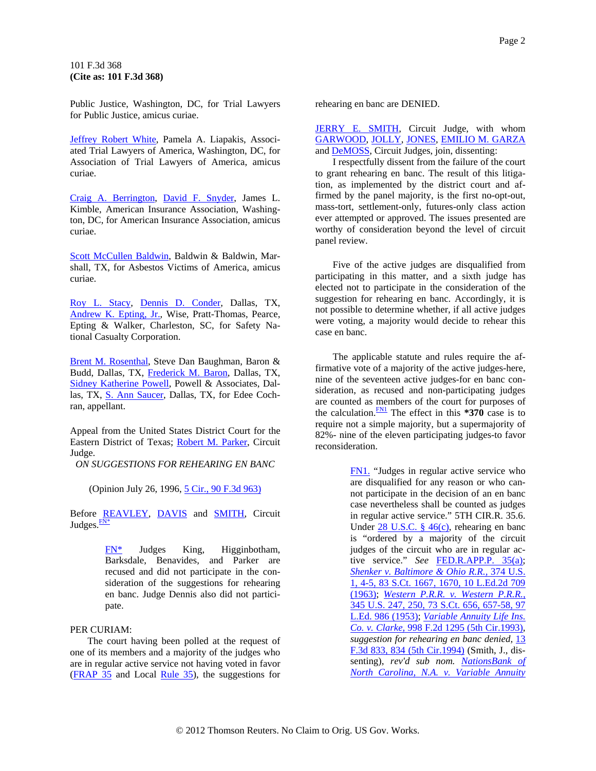<span id="page-1-0"></span>Public Justice, Washington, DC, for Trial Lawyers for Public Justice, amicus curiae.

[Jeffrey Robert White,](http://www.westlaw.com/Find/Default.wl?rs=dfa1.0&vr=2.0&DB=PROFILER-WLD&DocName=0168411101&FindType=h) Pamela A. Liapakis, Associated Trial Lawyers of America, Washington, DC, for Association of Trial Lawyers of America, amicus curiae.

[Craig A. Berrington](http://www.westlaw.com/Find/Default.wl?rs=dfa1.0&vr=2.0&DB=PROFILER-WLD&DocName=0203420901&FindType=h), [David F. Snyder,](http://www.westlaw.com/Find/Default.wl?rs=dfa1.0&vr=2.0&DB=PROFILER-WLD&DocName=0141875701&FindType=h) James L. Kimble, American Insurance Association, Washington, DC, for American Insurance Association, amicus curiae.

[Scott McCullen Baldwin](http://www.westlaw.com/Find/Default.wl?rs=dfa1.0&vr=2.0&DB=PROFILER-WLD&DocName=0148050501&FindType=h), Baldwin & Baldwin, Marshall, TX, for Asbestos Victims of America, amicus curiae.

[Roy L. Stacy](http://www.westlaw.com/Find/Default.wl?rs=dfa1.0&vr=2.0&DB=PROFILER-WLD&DocName=0165581901&FindType=h), [Dennis D. Conder,](http://www.westlaw.com/Find/Default.wl?rs=dfa1.0&vr=2.0&DB=PROFILER-WLD&DocName=0102898101&FindType=h) Dallas, TX, [Andrew K. Epting, Jr.,](http://www.westlaw.com/Find/Default.wl?rs=dfa1.0&vr=2.0&DB=PROFILER-WLD&DocName=0129434601&FindType=h) Wise, Pratt-Thomas, Pearce, Epting & Walker, Charleston, SC, for Safety National Casualty Corporation.

[Brent M. Rosenthal](http://www.westlaw.com/Find/Default.wl?rs=dfa1.0&vr=2.0&DB=PROFILER-WLD&DocName=0136520201&FindType=h), Steve Dan Baughman, Baron & Budd, Dallas, TX, [Frederick M. Baron,](http://www.westlaw.com/Find/Default.wl?rs=dfa1.0&vr=2.0&DB=PROFILER-WLD&DocName=0210714001&FindType=h) Dallas, TX, [Sidney Katherine Powell,](http://www.westlaw.com/Find/Default.wl?rs=dfa1.0&vr=2.0&DB=PROFILER-WLD&DocName=0203820901&FindType=h) Powell & Associates, Dallas, TX, [S. Ann Saucer,](http://www.westlaw.com/Find/Default.wl?rs=dfa1.0&vr=2.0&DB=PROFILER-WLD&DocName=0182571401&FindType=h) Dallas, TX, for Edee Cochran, appellant.

Appeal from the United States District Court for the Eastern District of Texas; [Robert M. Parker,](http://www.westlaw.com/Find/Default.wl?rs=dfa1.0&vr=2.0&DB=PROFILER-WLD&DocName=0120639301&FindType=h) Circuit Judge.

*ON SUGGESTIONS FOR REHEARING EN BANC*

(Opinion July 26, 1996, [5 Cir., 90 F.3d 963\)](http://www.westlaw.com/Find/Default.wl?rs=dfa1.0&vr=2.0&DB=506&FindType=Y&SerialNum=1996170719)

Before [REAVLEY,](http://www.westlaw.com/Find/Default.wl?rs=dfa1.0&vr=2.0&DB=PROFILER-WLD&DocName=0247561501&FindType=h) [DAVIS](http://www.westlaw.com/Find/Default.wl?rs=dfa1.0&vr=2.0&DB=PROFILER-WLD&DocName=0144313201&FindType=h) and [SMITH](http://www.westlaw.com/Find/Default.wl?rs=dfa1.0&vr=2.0&DB=PROFILER-WLD&DocName=0148349701&FindType=h), Circuit Judges. $\frac{FN^*}{T_N^*}$ 

> [FN\\*](#page-1-0) Judges King, Higginbotham, Barksdale, Benavides, and Parker are recused and did not participate in the consideration of the suggestions for rehearing en banc. Judge Dennis also did not participate.

## PER CURIAM:

The court having been polled at the request of one of its members and a majority of the judges who are in regular active service not having voted in favor [\(FRAP 35](http://www.westlaw.com/Find/Default.wl?rs=dfa1.0&vr=2.0&DB=1004365&DocName=USFRAPR35&FindType=L) and Local [Rule 35](http://www.westlaw.com/Find/Default.wl?rs=dfa1.0&vr=2.0&DB=1004365&DocName=USFRAPR35&FindType=L)), the suggestions for

rehearing en banc are DENIED.

[JERRY E. SMITH,](http://www.westlaw.com/Find/Default.wl?rs=dfa1.0&vr=2.0&DB=PROFILER-WLD&DocName=0148349701&FindType=h) Circuit Judge, with whom [GARWOOD](http://www.westlaw.com/Find/Default.wl?rs=dfa1.0&vr=2.0&DB=PROFILER-WLD&DocName=0204863401&FindType=h), [JOLLY](http://www.westlaw.com/Find/Default.wl?rs=dfa1.0&vr=2.0&DB=PROFILER-WLD&DocName=0164934701&FindType=h), [JONES,](http://www.westlaw.com/Find/Default.wl?rs=dfa1.0&vr=2.0&DB=PROFILER-WLD&DocName=0168836901&FindType=h) [EMILIO M. GARZA](http://www.westlaw.com/Find/Default.wl?rs=dfa1.0&vr=2.0&DB=PROFILER-WLD&DocName=0141561901&FindType=h) and [DeMOSS,](http://www.westlaw.com/Find/Default.wl?rs=dfa1.0&vr=2.0&DB=PROFILER-WLD&DocName=0248303601&FindType=h) Circuit Judges, join, dissenting:

I respectfully dissent from the failure of the court to grant rehearing en banc. The result of this litigation, as implemented by the district court and affirmed by the panel majority, is the first no-opt-out, mass-tort, settlement-only, futures-only class action ever attempted or approved. The issues presented are worthy of consideration beyond the level of circuit panel review.

Five of the active judges are disqualified from participating in this matter, and a sixth judge has elected not to participate in the consideration of the suggestion for rehearing en banc. Accordingly, it is not possible to determine whether, if all active judges were voting, a majority would decide to rehear this case en banc.

The applicable statute and rules require the affirmative vote of a majority of the active judges-here, nine of the seventeen active judges-for en banc consideration, as recused and non-participating judges are counted as members of the court for purposes of the calculation. $\frac{FN1}{FN}$  The effect in this **\*370** case is to require not a simple majority, but a supermajority of 82%- nine of the eleven participating judges-to favor reconsideration.

> [FN1.](#page-1-0) "Judges in regular active service who are disqualified for any reason or who cannot participate in the decision of an en banc case nevertheless shall be counted as judges in regular active service." 5TH CIR.R. 35.6. Under [28 U.S.C. § 46\(c\)](http://www.westlaw.com/Find/Default.wl?rs=dfa1.0&vr=2.0&DB=1000546&DocName=28USCAS46&FindType=L&ReferencePositionType=T&ReferencePosition=SP_4b24000003ba5), rehearing en banc is "ordered by a majority of the circuit judges of the circuit who are in regular active service." *See* [FED.R.APP.P. 35\(a\)](http://www.westlaw.com/Find/Default.wl?rs=dfa1.0&vr=2.0&DB=1004365&DocName=USFRAPR35&FindType=L); *[Shenker v. Baltimore & Ohio R.R.,](http://www.westlaw.com/Find/Default.wl?rs=dfa1.0&vr=2.0&DB=708&FindType=Y&ReferencePositionType=S&SerialNum=1963125391&ReferencePosition=1670)* [374 U.S.](http://www.westlaw.com/Find/Default.wl?rs=dfa1.0&vr=2.0&DB=708&FindType=Y&ReferencePositionType=S&SerialNum=1963125391&ReferencePosition=1670)  [1, 4-5, 83 S.Ct. 1667, 1670, 10 L.Ed.2d 709](http://www.westlaw.com/Find/Default.wl?rs=dfa1.0&vr=2.0&DB=708&FindType=Y&ReferencePositionType=S&SerialNum=1963125391&ReferencePosition=1670)  [\(1963\);](http://www.westlaw.com/Find/Default.wl?rs=dfa1.0&vr=2.0&DB=708&FindType=Y&ReferencePositionType=S&SerialNum=1963125391&ReferencePosition=1670) *[Western P.R.R. v. Western P.R.R.,](http://www.westlaw.com/Find/Default.wl?rs=dfa1.0&vr=2.0&DB=708&FindType=Y&ReferencePositionType=S&SerialNum=1953120647&ReferencePosition=657)* [345 U.S. 247, 250, 73 S.Ct. 656, 657-58, 97](http://www.westlaw.com/Find/Default.wl?rs=dfa1.0&vr=2.0&DB=708&FindType=Y&ReferencePositionType=S&SerialNum=1953120647&ReferencePosition=657)  [L.Ed. 986 \(1953\);](http://www.westlaw.com/Find/Default.wl?rs=dfa1.0&vr=2.0&DB=708&FindType=Y&ReferencePositionType=S&SerialNum=1953120647&ReferencePosition=657) *[Variable Annuity Life Ins.](http://www.westlaw.com/Find/Default.wl?rs=dfa1.0&vr=2.0&DB=350&FindType=Y&SerialNum=1993159874)  [Co. v. Clarke,](http://www.westlaw.com/Find/Default.wl?rs=dfa1.0&vr=2.0&DB=350&FindType=Y&SerialNum=1993159874)* [998 F.2d 1295 \(5th Cir.1993\)](http://www.westlaw.com/Find/Default.wl?rs=dfa1.0&vr=2.0&DB=350&FindType=Y&SerialNum=1993159874), *suggestion for rehearing en banc denied,* [13](http://www.westlaw.com/Find/Default.wl?rs=dfa1.0&vr=2.0&DB=506&FindType=Y&ReferencePositionType=S&SerialNum=1994037247&ReferencePosition=834)  [F.3d 833, 834 \(5th Cir.1994\)](http://www.westlaw.com/Find/Default.wl?rs=dfa1.0&vr=2.0&DB=506&FindType=Y&ReferencePositionType=S&SerialNum=1994037247&ReferencePosition=834) (Smith, J., dissenting), *rev'd sub nom. [NationsBank of](http://www.westlaw.com/Find/Default.wl?rs=dfa1.0&vr=2.0&DB=708&FindType=Y&SerialNum=1995030824)  [North Carolina, N.A. v. Variable Annuity](http://www.westlaw.com/Find/Default.wl?rs=dfa1.0&vr=2.0&DB=708&FindType=Y&SerialNum=1995030824)*